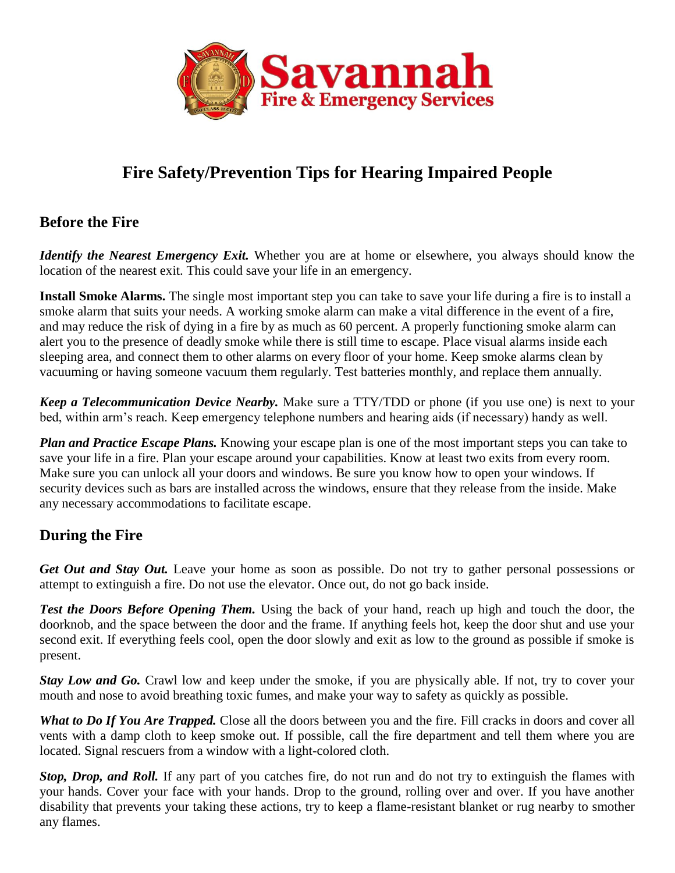

# **Fire Safety/Prevention Tips for Hearing Impaired People**

#### **Before the Fire**

*Identify the Nearest Emergency Exit.* Whether you are at home or elsewhere, you always should know the location of the nearest exit. This could save your life in an emergency.

**Install Smoke Alarms.** The single most important step you can take to save your life during a fire is to install a smoke alarm that suits your needs. A working smoke alarm can make a vital difference in the event of a fire, and may reduce the risk of dying in a fire by as much as 60 percent. A properly functioning smoke alarm can alert you to the presence of deadly smoke while there is still time to escape. Place visual alarms inside each sleeping area, and connect them to other alarms on every floor of your home. Keep smoke alarms clean by vacuuming or having someone vacuum them regularly. Test batteries monthly, and replace them annually.

*Keep a Telecommunication Device Nearby.* Make sure a TTY/TDD or phone (if you use one) is next to your bed, within arm's reach. Keep emergency telephone numbers and hearing aids (if necessary) handy as well.

*Plan and Practice Escape Plans.* Knowing your escape plan is one of the most important steps you can take to save your life in a fire. Plan your escape around your capabilities. Know at least two exits from every room. Make sure you can unlock all your doors and windows. Be sure you know how to open your windows. If security devices such as bars are installed across the windows, ensure that they release from the inside. Make any necessary accommodations to facilitate escape.

### **During the Fire**

*Get Out and Stay Out.* Leave your home as soon as possible. Do not try to gather personal possessions or attempt to extinguish a fire. Do not use the elevator. Once out, do not go back inside.

**Test the Doors Before Opening Them.** Using the back of your hand, reach up high and touch the door, the doorknob, and the space between the door and the frame. If anything feels hot, keep the door shut and use your second exit. If everything feels cool, open the door slowly and exit as low to the ground as possible if smoke is present.

*Stay Low and Go.* Crawl low and keep under the smoke, if you are physically able. If not, try to cover your mouth and nose to avoid breathing toxic fumes, and make your way to safety as quickly as possible.

*What to Do If You Are Trapped.* Close all the doors between you and the fire. Fill cracks in doors and cover all vents with a damp cloth to keep smoke out. If possible, call the fire department and tell them where you are located. Signal rescuers from a window with a light-colored cloth.

*Stop, Drop, and Roll.* If any part of you catches fire, do not run and do not try to extinguish the flames with your hands. Cover your face with your hands. Drop to the ground, rolling over and over. If you have another disability that prevents your taking these actions, try to keep a flame-resistant blanket or rug nearby to smother any flames.